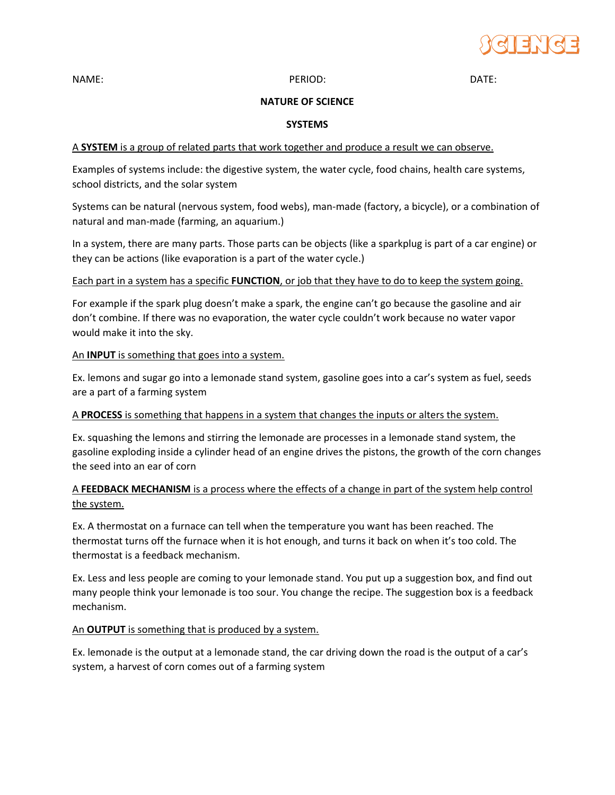

NAME: DATE: PERIOD: PERIOD: PERIOD: DATE:

# **NATURE OF SCIENCE**

## **SYSTEMS**

# A **SYSTEM** is a group of related parts that work together and produce a result we can observe.

Examples of systems include: the digestive system, the water cycle, food chains, health care systems, school districts, and the solar system

Systems can be natural (nervous system, food webs), man-made (factory, a bicycle), or a combination of natural and man-made (farming, an aquarium.)

In a system, there are many parts. Those parts can be objects (like a sparkplug is part of a car engine) or they can be actions (like evaporation is a part of the water cycle.)

## Each part in a system has a specific **FUNCTION**, or job that they have to do to keep the system going.

For example if the spark plug doesn't make a spark, the engine can't go because the gasoline and air don't combine. If there was no evaporation, the water cycle couldn't work because no water vapor would make it into the sky.

## An **INPUT** is something that goes into a system.

Ex. lemons and sugar go into a lemonade stand system, gasoline goes into a car's system as fuel, seeds are a part of a farming system

#### A **PROCESS** is something that happens in a system that changes the inputs or alters the system.

Ex. squashing the lemons and stirring the lemonade are processes in a lemonade stand system, the gasoline exploding inside a cylinder head of an engine drives the pistons, the growth of the corn changes the seed into an ear of corn

# A **FEEDBACK MECHANISM** is a process where the effects of a change in part of the system help control the system.

Ex. A thermostat on a furnace can tell when the temperature you want has been reached. The thermostat turns off the furnace when it is hot enough, and turns it back on when it's too cold. The thermostat is a feedback mechanism.

Ex. Less and less people are coming to your lemonade stand. You put up a suggestion box, and find out many people think your lemonade is too sour. You change the recipe. The suggestion box is a feedback mechanism.

#### An **OUTPUT** is something that is produced by a system.

Ex. lemonade is the output at a lemonade stand, the car driving down the road is the output of a car's system, a harvest of corn comes out of a farming system